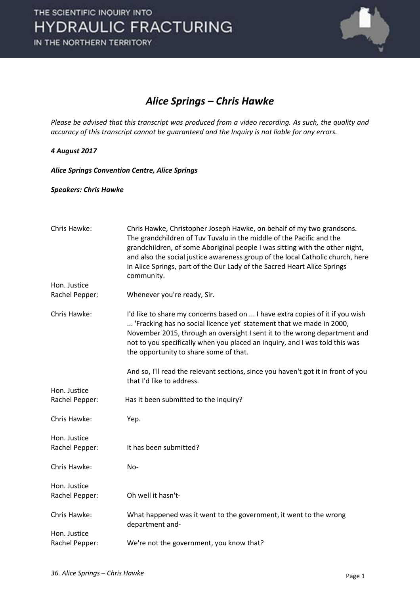

### *Alice Springs – Chris Hawke*

*Please be advised that this transcript was produced from a video recording. As such, the quality and accuracy of this transcript cannot be guaranteed and the Inquiry is not liable for any errors.* 

#### *4 August 2017*

*Alice Springs Convention Centre, Alice Springs* 

*Speakers: Chris Hawke* 

| Chris Hawke:   | Chris Hawke, Christopher Joseph Hawke, on behalf of my two grandsons.<br>The grandchildren of Tuv Tuvalu in the middle of the Pacific and the<br>grandchildren, of some Aboriginal people I was sitting with the other night,<br>and also the social justice awareness group of the local Catholic church, here<br>in Alice Springs, part of the Our Lady of the Sacred Heart Alice Springs<br>community. |
|----------------|-----------------------------------------------------------------------------------------------------------------------------------------------------------------------------------------------------------------------------------------------------------------------------------------------------------------------------------------------------------------------------------------------------------|
| Hon. Justice   |                                                                                                                                                                                                                                                                                                                                                                                                           |
| Rachel Pepper: | Whenever you're ready, Sir.                                                                                                                                                                                                                                                                                                                                                                               |
| Chris Hawke:   | I'd like to share my concerns based on  I have extra copies of it if you wish<br>'Fracking has no social licence yet' statement that we made in 2000,<br>November 2015, through an oversight I sent it to the wrong department and<br>not to you specifically when you placed an inquiry, and I was told this was<br>the opportunity to share some of that.                                               |
|                | And so, I'll read the relevant sections, since you haven't got it in front of you<br>that I'd like to address.                                                                                                                                                                                                                                                                                            |
| Hon. Justice   |                                                                                                                                                                                                                                                                                                                                                                                                           |
| Rachel Pepper: | Has it been submitted to the inquiry?                                                                                                                                                                                                                                                                                                                                                                     |
| Chris Hawke:   | Yep.                                                                                                                                                                                                                                                                                                                                                                                                      |
| Hon. Justice   |                                                                                                                                                                                                                                                                                                                                                                                                           |
| Rachel Pepper: | It has been submitted?                                                                                                                                                                                                                                                                                                                                                                                    |
| Chris Hawke:   | No-                                                                                                                                                                                                                                                                                                                                                                                                       |
| Hon. Justice   |                                                                                                                                                                                                                                                                                                                                                                                                           |
| Rachel Pepper: | Oh well it hasn't-                                                                                                                                                                                                                                                                                                                                                                                        |
| Chris Hawke:   | What happened was it went to the government, it went to the wrong<br>department and-                                                                                                                                                                                                                                                                                                                      |
| Hon. Justice   |                                                                                                                                                                                                                                                                                                                                                                                                           |
| Rachel Pepper: | We're not the government, you know that?                                                                                                                                                                                                                                                                                                                                                                  |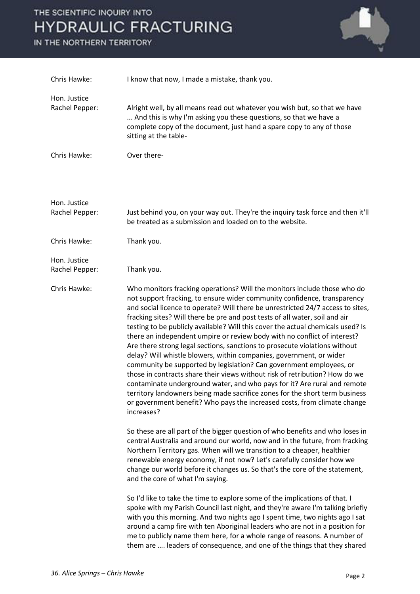# THE SCIENTIFIC INQUIRY INTO **HYDRAULIC FRACTURING**

IN THE NORTHERN TERRITORY



| Chris Hawke:                   | I know that now, I made a mistake, thank you.                                                                                                                                                                                                                                                                                                                                                                                                                                                                                                                                                                                                                                                                                                                                                                                                                                                                                                                                                                                                         |
|--------------------------------|-------------------------------------------------------------------------------------------------------------------------------------------------------------------------------------------------------------------------------------------------------------------------------------------------------------------------------------------------------------------------------------------------------------------------------------------------------------------------------------------------------------------------------------------------------------------------------------------------------------------------------------------------------------------------------------------------------------------------------------------------------------------------------------------------------------------------------------------------------------------------------------------------------------------------------------------------------------------------------------------------------------------------------------------------------|
| Hon. Justice<br>Rachel Pepper: | Alright well, by all means read out whatever you wish but, so that we have<br>And this is why I'm asking you these questions, so that we have a<br>complete copy of the document, just hand a spare copy to any of those<br>sitting at the table-                                                                                                                                                                                                                                                                                                                                                                                                                                                                                                                                                                                                                                                                                                                                                                                                     |
| Chris Hawke:                   | Over there-                                                                                                                                                                                                                                                                                                                                                                                                                                                                                                                                                                                                                                                                                                                                                                                                                                                                                                                                                                                                                                           |
| Hon. Justice<br>Rachel Pepper: | Just behind you, on your way out. They're the inquiry task force and then it'll<br>be treated as a submission and loaded on to the website.                                                                                                                                                                                                                                                                                                                                                                                                                                                                                                                                                                                                                                                                                                                                                                                                                                                                                                           |
| Chris Hawke:                   | Thank you.                                                                                                                                                                                                                                                                                                                                                                                                                                                                                                                                                                                                                                                                                                                                                                                                                                                                                                                                                                                                                                            |
| Hon. Justice<br>Rachel Pepper: | Thank you.                                                                                                                                                                                                                                                                                                                                                                                                                                                                                                                                                                                                                                                                                                                                                                                                                                                                                                                                                                                                                                            |
| Chris Hawke:                   | Who monitors fracking operations? Will the monitors include those who do<br>not support fracking, to ensure wider community confidence, transparency<br>and social licence to operate? Will there be unrestricted 24/7 access to sites,<br>fracking sites? Will there be pre and post tests of all water, soil and air<br>testing to be publicly available? Will this cover the actual chemicals used? Is<br>there an independent umpire or review body with no conflict of interest?<br>Are there strong legal sections, sanctions to prosecute violations without<br>delay? Will whistle blowers, within companies, government, or wider<br>community be supported by legislation? Can government employees, or<br>those in contracts share their views without risk of retribution? How do we<br>contaminate underground water, and who pays for it? Are rural and remote<br>territory landowners being made sacrifice zones for the short term business<br>or government benefit? Who pays the increased costs, from climate change<br>increases? |
|                                | So these are all part of the bigger question of who benefits and who loses in<br>central Australia and around our world, now and in the future, from fracking<br>Northern Territory gas. When will we transition to a cheaper, healthier<br>renewable energy economy, if not now? Let's carefully consider how we<br>change our world before it changes us. So that's the core of the statement,<br>and the core of what I'm saying.                                                                                                                                                                                                                                                                                                                                                                                                                                                                                                                                                                                                                  |
|                                | So I'd like to take the time to explore some of the implications of that. I<br>spoke with my Parish Council last night, and they're aware I'm talking briefly<br>with you this morning. And two nights ago I spent time, two nights ago I sat<br>around a camp fire with ten Aboriginal leaders who are not in a position for<br>me to publicly name them here, for a whole range of reasons. A number of<br>them are  leaders of consequence, and one of the things that they shared                                                                                                                                                                                                                                                                                                                                                                                                                                                                                                                                                                 |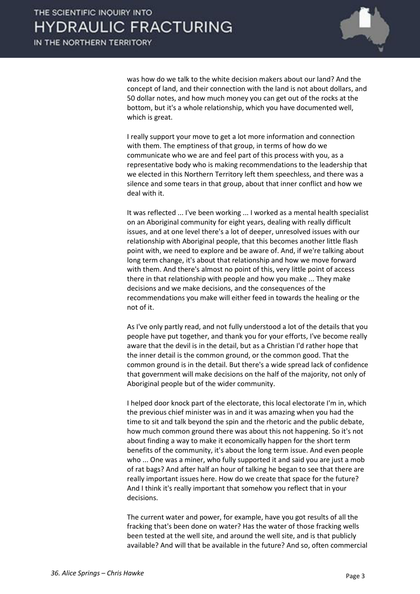

was how do we talk to the white decision makers about our land? And the concept of land, and their connection with the land is not about dollars, and 50 dollar notes, and how much money you can get out of the rocks at the bottom, but it's a whole relationship, which you have documented well, which is great.

 I really support your move to get a lot more information and connection with them. The emptiness of that group, in terms of how do we communicate who we are and feel part of this process with you, as a representative body who is making recommendations to the leadership that we elected in this Northern Territory left them speechless, and there was a silence and some tears in that group, about that inner conflict and how we deal with it.

 It was reflected ... I've been working ... I worked as a mental health specialist on an Aboriginal community for eight years, dealing with really difficult issues, and at one level there's a lot of deeper, unresolved issues with our relationship with Aboriginal people, that this becomes another little flash point with, we need to explore and be aware of. And, if we're talking about long term change, it's about that relationship and how we move forward with them. And there's almost no point of this, very little point of access there in that relationship with people and how you make ... They make decisions and we make decisions, and the consequences of the recommendations you make will either feed in towards the healing or the not of it.

 As I've only partly read, and not fully understood a lot of the details that you people have put together, and thank you for your efforts, I've become really aware that the devil is in the detail, but as a Christian I'd rather hope that the inner detail is the common ground, or the common good. That the common ground is in the detail. But there's a wide spread lack of confidence that government will make decisions on the half of the majority, not only of Aboriginal people but of the wider community.

 I helped door knock part of the electorate, this local electorate I'm in, which the previous chief minister was in and it was amazing when you had the time to sit and talk beyond the spin and the rhetoric and the public debate, how much common ground there was about this not happening. So it's not about finding a way to make it economically happen for the short term benefits of the community, it's about the long term issue. And even people who ... One was a miner, who fully supported it and said you are just a mob of rat bags? And after half an hour of talking he began to see that there are really important issues here. How do we create that space for the future? And I think it's really important that somehow you reflect that in your decisions.

 The current water and power, for example, have you got results of all the fracking that's been done on water? Has the water of those fracking wells been tested at the well site, and around the well site, and is that publicly available? And will that be available in the future? And so, often commercial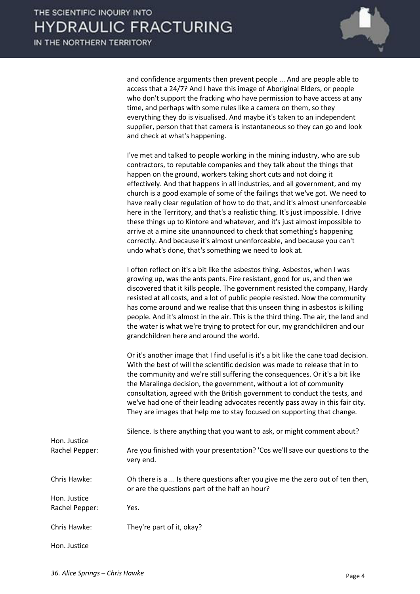

and confidence arguments then prevent people ... And are people able to access that a 24/7? And I have this image of Aboriginal Elders, or people who don't support the fracking who have permission to have access at any time, and perhaps with some rules like a camera on them, so they everything they do is visualised. And maybe it's taken to an independent supplier, person that that camera is instantaneous so they can go and look and check at what's happening.

 I've met and talked to people working in the mining industry, who are sub contractors, to reputable companies and they talk about the things that happen on the ground, workers taking short cuts and not doing it effectively. And that happens in all industries, and all government, and my church is a good example of some of the failings that we've got. We need to have really clear regulation of how to do that, and it's almost unenforceable here in the Territory, and that's a realistic thing. It's just impossible. I drive these things up to Kintore and whatever, and it's just almost impossible to arrive at a mine site unannounced to check that something's happening correctly. And because it's almost unenforceable, and because you can't undo what's done, that's something we need to look at.

 I often reflect on it's a bit like the asbestos thing. Asbestos, when I was growing up, was the ants pants. Fire resistant, good for us, and then we discovered that it kills people. The government resisted the company, Hardy resisted at all costs, and a lot of public people resisted. Now the community has come around and we realise that this unseen thing in asbestos is killing people. And it's almost in the air. This is the third thing. The air, the land and the water is what we're trying to protect for our, my grandchildren and our grandchildren here and around the world.

 Or it's another image that I find useful is it's a bit like the cane toad decision. With the best of will the scientific decision was made to release that in to the community and we're still suffering the consequences. Or it's a bit like the Maralinga decision, the government, without a lot of community consultation, agreed with the British government to conduct the tests, and we've had one of their leading advocates recently pass away in this fair city. They are images that help me to stay focused on supporting that change.

| Hon. Justice   | Silence. Is there anything that you want to ask, or might comment about?                                                        |
|----------------|---------------------------------------------------------------------------------------------------------------------------------|
| Rachel Pepper: | Are you finished with your presentation? 'Cos we'll save our questions to the<br>very end.                                      |
| Chris Hawke:   | Oh there is a  Is there questions after you give me the zero out of ten then,<br>or are the questions part of the half an hour? |
| Hon. Justice   |                                                                                                                                 |
| Rachel Pepper: | Yes.                                                                                                                            |
| Chris Hawke:   | They're part of it, okay?                                                                                                       |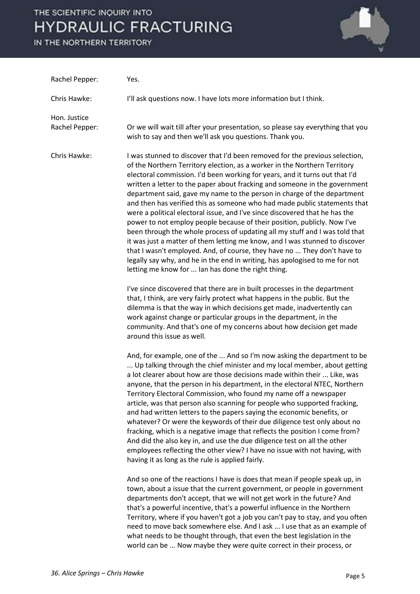# THE SCIENTIFIC INQUIRY INTO **HYDRAULIC FRACTURING**

IN THE NORTHERN TERRITORY



| Rachel Pepper:                 | Yes.                                                                                                                                                                                                                                                                                                                                                                                                                                                                                                                                                                                                                                                                                                                                                                                                                                                                                                                                                                                                                    |
|--------------------------------|-------------------------------------------------------------------------------------------------------------------------------------------------------------------------------------------------------------------------------------------------------------------------------------------------------------------------------------------------------------------------------------------------------------------------------------------------------------------------------------------------------------------------------------------------------------------------------------------------------------------------------------------------------------------------------------------------------------------------------------------------------------------------------------------------------------------------------------------------------------------------------------------------------------------------------------------------------------------------------------------------------------------------|
| Chris Hawke:                   | I'll ask questions now. I have lots more information but I think.                                                                                                                                                                                                                                                                                                                                                                                                                                                                                                                                                                                                                                                                                                                                                                                                                                                                                                                                                       |
| Hon. Justice<br>Rachel Pepper: | Or we will wait till after your presentation, so please say everything that you<br>wish to say and then we'll ask you questions. Thank you.                                                                                                                                                                                                                                                                                                                                                                                                                                                                                                                                                                                                                                                                                                                                                                                                                                                                             |
| Chris Hawke:                   | I was stunned to discover that I'd been removed for the previous selection,<br>of the Northern Territory election, as a worker in the Northern Territory<br>electoral commission. I'd been working for years, and it turns out that I'd<br>written a letter to the paper about fracking and someone in the government<br>department said, gave my name to the person in charge of the department<br>and then has verified this as someone who had made public statements that<br>were a political electoral issue, and I've since discovered that he has the<br>power to not employ people because of their position, publicly. Now I've<br>been through the whole process of updating all my stuff and I was told that<br>it was just a matter of them letting me know, and I was stunned to discover<br>that I wasn't employed. And, of course, they have no  They don't have to<br>legally say why, and he in the end in writing, has apologised to me for not<br>letting me know for  Ian has done the right thing. |
|                                | I've since discovered that there are in built processes in the department<br>that, I think, are very fairly protect what happens in the public. But the<br>dilemma is that the way in which decisions get made, inadvertently can<br>work against change or particular groups in the department, in the<br>community. And that's one of my concerns about how decision get made<br>around this issue as well.                                                                                                                                                                                                                                                                                                                                                                                                                                                                                                                                                                                                           |
|                                | And, for example, one of the  And so I'm now asking the department to be<br>Up talking through the chief minister and my local member, about getting<br>a lot clearer about how are those decisions made within their  Like, was<br>anyone, that the person in his department, in the electoral NTEC, Northern<br>Territory Electoral Commission, who found my name off a newspaper<br>article, was that person also scanning for people who supported fracking,<br>and had written letters to the papers saying the economic benefits, or<br>whatever? Or were the keywords of their due diligence test only about no<br>fracking, which is a negative image that reflects the position I come from?<br>And did the also key in, and use the due diligence test on all the other<br>employees reflecting the other view? I have no issue with not having, with<br>having it as long as the rule is applied fairly.                                                                                                     |
|                                | And so one of the reactions I have is does that mean if people speak up, in<br>town, about a issue that the current government, or people in government<br>departments don't accept, that we will not get work in the future? And<br>that's a powerful incentive, that's a powerful influence in the Northern<br>Territory, where if you haven't got a job you can't pay to stay, and you often<br>need to move back somewhere else. And I ask  I use that as an example of<br>what needs to be thought through, that even the best legislation in the<br>world can be  Now maybe they were quite correct in their process, or                                                                                                                                                                                                                                                                                                                                                                                          |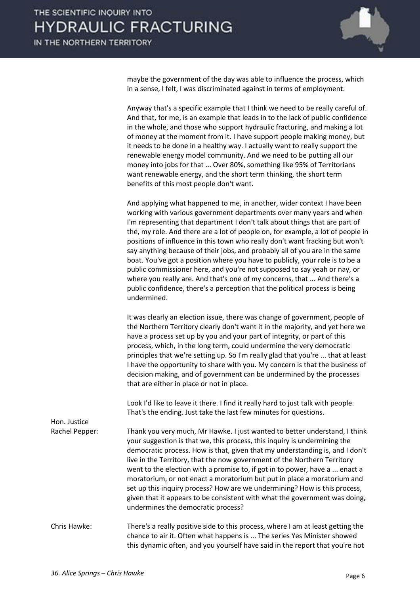

maybe the government of the day was able to influence the process, which in a sense, I felt, I was discriminated against in terms of employment.

 Anyway that's a specific example that I think we need to be really careful of. And that, for me, is an example that leads in to the lack of public confidence in the whole, and those who support hydraulic fracturing, and making a lot of money at the moment from it. I have support people making money, but it needs to be done in a healthy way. I actually want to really support the renewable energy model community. And we need to be putting all our money into jobs for that ... Over 80%, something like 95% of Territorians want renewable energy, and the short term thinking, the short term benefits of this most people don't want.

 And applying what happened to me, in another, wider context I have been working with various government departments over many years and when I'm representing that department I don't talk about things that are part of the, my role. And there are a lot of people on, for example, a lot of people in positions of influence in this town who really don't want fracking but won't say anything because of their jobs, and probably all of you are in the same boat. You've got a position where you have to publicly, your role is to be a public commissioner here, and you're not supposed to say yeah or nay, or where you really are. And that's one of my concerns, that ... And there's a public confidence, there's a perception that the political process is being undermined.

 It was clearly an election issue, there was change of government, people of the Northern Territory clearly don't want it in the majority, and yet here we have a process set up by you and your part of integrity, or part of this process, which, in the long term, could undermine the very democratic principles that we're setting up. So I'm really glad that you're ... that at least I have the opportunity to share with you. My concern is that the business of decision making, and of government can be undermined by the processes that are either in place or not in place.

 Look I'd like to leave it there. I find it really hard to just talk with people. That's the ending. Just take the last few minutes for questions.

Hon. Justice

Rachel Pepper: Thank you very much, Mr Hawke. I just wanted to better understand, I think your suggestion is that we, this process, this inquiry is undermining the democratic process. How is that, given that my understanding is, and I don't live in the Territory, that the now government of the Northern Territory went to the election with a promise to, if got in to power, have a ... enact a moratorium, or not enact a moratorium but put in place a moratorium and set up this inquiry process? How are we undermining? How is this process, given that it appears to be consistent with what the government was doing, undermines the democratic process?

Chris Hawke: There's a really positive side to this process, where I am at least getting the chance to air it. Often what happens is ... The series Yes Minister showed this dynamic often, and you yourself have said in the report that you're not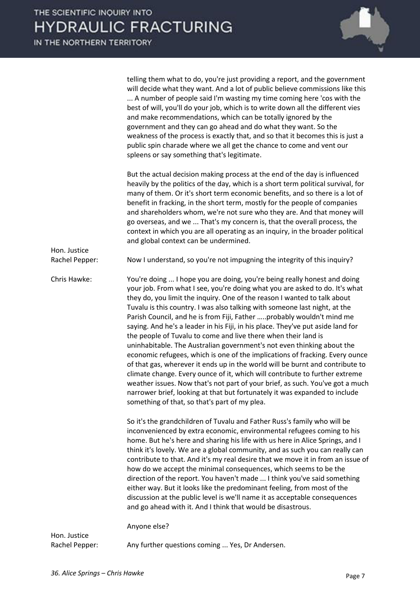

|                                | telling them what to do, you're just providing a report, and the government<br>will decide what they want. And a lot of public believe commissions like this<br>A number of people said I'm wasting my time coming here 'cos with the<br>best of will, you'll do your job, which is to write down all the different vies<br>and make recommendations, which can be totally ignored by the<br>government and they can go ahead and do what they want. So the<br>weakness of the process is exactly that, and so that it becomes this is just a<br>public spin charade where we all get the chance to come and vent our<br>spleens or say something that's legitimate.                                                                                                                                                                                                                                                                                                                                                                                                                      |
|--------------------------------|-------------------------------------------------------------------------------------------------------------------------------------------------------------------------------------------------------------------------------------------------------------------------------------------------------------------------------------------------------------------------------------------------------------------------------------------------------------------------------------------------------------------------------------------------------------------------------------------------------------------------------------------------------------------------------------------------------------------------------------------------------------------------------------------------------------------------------------------------------------------------------------------------------------------------------------------------------------------------------------------------------------------------------------------------------------------------------------------|
|                                | But the actual decision making process at the end of the day is influenced<br>heavily by the politics of the day, which is a short term political survival, for<br>many of them. Or it's short term economic benefits, and so there is a lot of<br>benefit in fracking, in the short term, mostly for the people of companies<br>and shareholders whom, we're not sure who they are. And that money will<br>go overseas, and we  That's my concern is, that the overall process, the<br>context in which you are all operating as an inquiry, in the broader political<br>and global context can be undermined.                                                                                                                                                                                                                                                                                                                                                                                                                                                                           |
| Hon. Justice<br>Rachel Pepper: | Now I understand, so you're not impugning the integrity of this inquiry?                                                                                                                                                                                                                                                                                                                                                                                                                                                                                                                                                                                                                                                                                                                                                                                                                                                                                                                                                                                                                  |
| Chris Hawke:                   | You're doing  I hope you are doing, you're being really honest and doing<br>your job. From what I see, you're doing what you are asked to do. It's what<br>they do, you limit the inquiry. One of the reason I wanted to talk about<br>Tuvalu is this country. I was also talking with someone last night, at the<br>Parish Council, and he is from Fiji, Father probably wouldn't mind me<br>saying. And he's a leader in his Fiji, in his place. They've put aside land for<br>the people of Tuvalu to come and live there when their land is<br>uninhabitable. The Australian government's not even thinking about the<br>economic refugees, which is one of the implications of fracking. Every ounce<br>of that gas, wherever it ends up in the world will be burnt and contribute to<br>climate change. Every ounce of it, which will contribute to further extreme<br>weather issues. Now that's not part of your brief, as such. You've got a much<br>narrower brief, looking at that but fortunately it was expanded to include<br>something of that, so that's part of my plea. |
|                                | So it's the grandchildren of Tuvalu and Father Russ's family who will be<br>inconvenienced by extra economic, environmental refugees coming to his<br>home. But he's here and sharing his life with us here in Alice Springs, and I<br>think it's lovely. We are a global community, and as such you can really can<br>contribute to that. And it's my real desire that we move it in from an issue of<br>how do we accept the minimal consequences, which seems to be the<br>direction of the report. You haven't made  I think you've said something<br>either way. But it looks like the predominant feeling, from most of the<br>discussion at the public level is we'll name it as acceptable consequences<br>and go ahead with it. And I think that would be disastrous.                                                                                                                                                                                                                                                                                                            |
| Hon. Justice                   | Anyone else?                                                                                                                                                                                                                                                                                                                                                                                                                                                                                                                                                                                                                                                                                                                                                                                                                                                                                                                                                                                                                                                                              |
| Rachel Pepper:                 | Any further questions coming  Yes, Dr Andersen.                                                                                                                                                                                                                                                                                                                                                                                                                                                                                                                                                                                                                                                                                                                                                                                                                                                                                                                                                                                                                                           |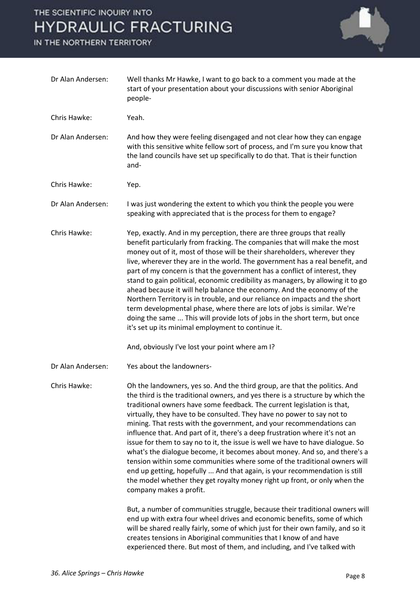## THE SCIENTIFIC INQUIRY INTO **HYDRAULIC FRACTURING**

IN THE NORTHERN TERRITORY



| Dr Alan Andersen: | Well thanks Mr Hawke, I want to go back to a comment you made at the<br>start of your presentation about your discussions with senior Aboriginal<br>people-                                                                                                                                                                                                                                                                                                                                                                                                                                                                                                                                                                                                                                                                                                                                                 |
|-------------------|-------------------------------------------------------------------------------------------------------------------------------------------------------------------------------------------------------------------------------------------------------------------------------------------------------------------------------------------------------------------------------------------------------------------------------------------------------------------------------------------------------------------------------------------------------------------------------------------------------------------------------------------------------------------------------------------------------------------------------------------------------------------------------------------------------------------------------------------------------------------------------------------------------------|
| Chris Hawke:      | Yeah.                                                                                                                                                                                                                                                                                                                                                                                                                                                                                                                                                                                                                                                                                                                                                                                                                                                                                                       |
| Dr Alan Andersen: | And how they were feeling disengaged and not clear how they can engage<br>with this sensitive white fellow sort of process, and I'm sure you know that<br>the land councils have set up specifically to do that. That is their function<br>and-                                                                                                                                                                                                                                                                                                                                                                                                                                                                                                                                                                                                                                                             |
| Chris Hawke:      | Yep.                                                                                                                                                                                                                                                                                                                                                                                                                                                                                                                                                                                                                                                                                                                                                                                                                                                                                                        |
| Dr Alan Andersen: | I was just wondering the extent to which you think the people you were<br>speaking with appreciated that is the process for them to engage?                                                                                                                                                                                                                                                                                                                                                                                                                                                                                                                                                                                                                                                                                                                                                                 |
| Chris Hawke:      | Yep, exactly. And in my perception, there are three groups that really<br>benefit particularly from fracking. The companies that will make the most<br>money out of it, most of those will be their shareholders, wherever they<br>live, wherever they are in the world. The government has a real benefit, and<br>part of my concern is that the government has a conflict of interest, they<br>stand to gain political, economic credibility as managers, by allowing it to go<br>ahead because it will help balance the economy. And the economy of the<br>Northern Territory is in trouble, and our reliance on impacts and the short<br>term developmental phase, where there are lots of jobs is similar. We're<br>doing the same  This will provide lots of jobs in the short term, but once<br>it's set up its minimal employment to continue it.                                                   |
|                   | And, obviously I've lost your point where am I?                                                                                                                                                                                                                                                                                                                                                                                                                                                                                                                                                                                                                                                                                                                                                                                                                                                             |
| Dr Alan Andersen: | Yes about the landowners-                                                                                                                                                                                                                                                                                                                                                                                                                                                                                                                                                                                                                                                                                                                                                                                                                                                                                   |
| Chris Hawke:      | Oh the landowners, yes so. And the third group, are that the politics. And<br>the third is the traditional owners, and yes there is a structure by which the<br>traditional owners have some feedback. The current legislation is that,<br>virtually, they have to be consulted. They have no power to say not to<br>mining. That rests with the government, and your recommendations can<br>influence that. And part of it, there's a deep frustration where it's not an<br>issue for them to say no to it, the issue is well we have to have dialogue. So<br>what's the dialogue become, it becomes about money. And so, and there's a<br>tension within some communities where some of the traditional owners will<br>end up getting, hopefully  And that again, is your recommendation is still<br>the model whether they get royalty money right up front, or only when the<br>company makes a profit. |
|                   | But, a number of communities struggle, because their traditional owners will<br>end up with extra four wheel drives and economic benefits, some of which<br>will be shared really fairly, some of which just for their own family, and so it<br>creates tensions in Aboriginal communities that I know of and have<br>experienced there. But most of them, and including, and I've talked with                                                                                                                                                                                                                                                                                                                                                                                                                                                                                                              |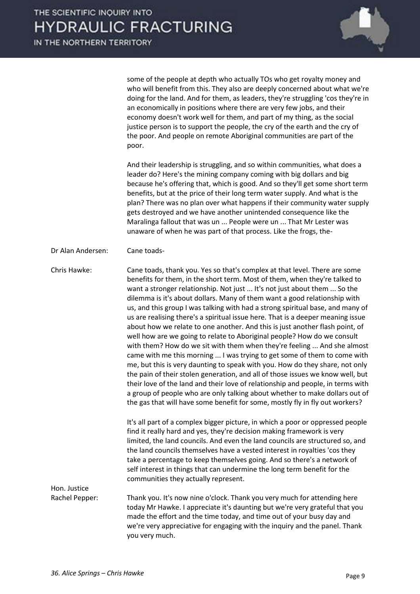

some of the people at depth who actually TOs who get royalty money and who will benefit from this. They also are deeply concerned about what we're doing for the land. And for them, as leaders, they're struggling 'cos they're in an economically in positions where there are very few jobs, and their economy doesn't work well for them, and part of my thing, as the social justice person is to support the people, the cry of the earth and the cry of the poor. And people on remote Aboriginal communities are part of the poor.

 And their leadership is struggling, and so within communities, what does a leader do? Here's the mining company coming with big dollars and big because he's offering that, which is good. And so they'll get some short term benefits, but at the price of their long term water supply. And what is the plan? There was no plan over what happens if their community water supply gets destroyed and we have another unintended consequence like the Maralinga fallout that was un ... People were un ... That Mr Lester was unaware of when he was part of that process. Like the frogs, the-

Dr Alan Andersen: Cane toads-

Chris Hawke: Cane toads, thank you. Yes so that's complex at that level. There are some benefits for them, in the short term. Most of them, when they're talked to want a stronger relationship. Not just ... It's not just about them ... So the dilemma is it's about dollars. Many of them want a good relationship with us, and this group I was talking with had a strong spiritual base, and many of us are realising there's a spiritual issue here. That is a deeper meaning issue about how we relate to one another. And this is just another flash point, of well how are we going to relate to Aboriginal people? How do we consult with them? How do we sit with them when they're feeling ... And she almost came with me this morning ... I was trying to get some of them to come with me, but this is very daunting to speak with you. How do they share, not only the pain of their stolen generation, and all of those issues we know well, but their love of the land and their love of relationship and people, in terms with a group of people who are only talking about whether to make dollars out of the gas that will have some benefit for some, mostly fly in fly out workers?

> It's all part of a complex bigger picture, in which a poor or oppressed people find it really hard and yes, they're decision making framework is very limited, the land councils. And even the land councils are structured so, and the land councils themselves have a vested interest in royalties 'cos they take a percentage to keep themselves going. And so there's a network of self interest in things that can undermine the long term benefit for the communities they actually represent.

Hon. Justice

Rachel Pepper: Thank you. It's now nine o'clock. Thank you very much for attending here today Mr Hawke. I appreciate it's daunting but we're very grateful that you made the effort and the time today, and time out of your busy day and we're very appreciative for engaging with the inquiry and the panel. Thank you very much.